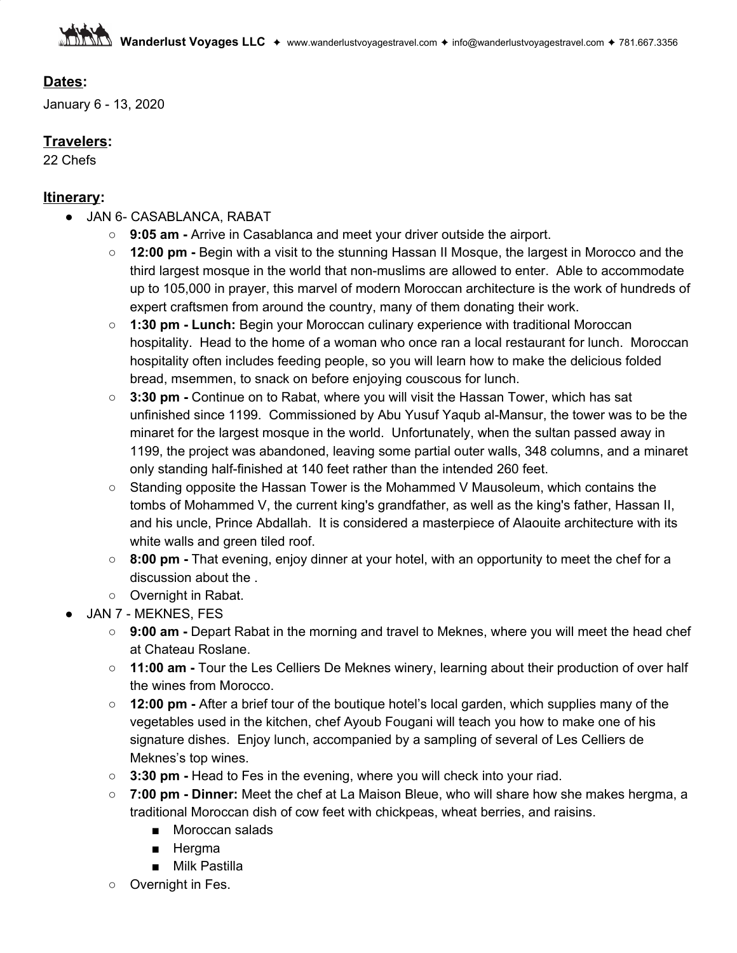### **Dates:**

January 6 - 13, 2020

# **Travelers:**

22 Chefs

#### **Itinerary:**

- JAN 6- CASABLANCA, RABAT
	- **9:05 am -** Arrive in Casablanca and meet your driver outside the airport.
	- **12:00 pm -** Begin with a visit to the stunning Hassan II Mosque, the largest in Morocco and the third largest mosque in the world that non-muslims are allowed to enter. Able to accommodate up to 105,000 in prayer, this marvel of modern Moroccan architecture is the work of hundreds of expert craftsmen from around the country, many of them donating their work.
	- **1:30 pm - Lunch:** Begin your Moroccan culinary experience with traditional Moroccan hospitality. Head to the home of a woman who once ran a local restaurant for lunch. Moroccan hospitality often includes feeding people, so you will learn how to make the delicious folded bread, msemmen, to snack on before enjoying couscous for lunch.
	- **3:30 pm -** Continue on to Rabat, where you will visit the Hassan Tower, which has sat unfinished since 1199. Commissioned by Abu Yusuf Yaqub al-Mansur, the tower was to be the minaret for the largest mosque in the world. Unfortunately, when the sultan passed away in 1199, the project was abandoned, leaving some partial outer walls, 348 columns, and a minaret only standing half-finished at 140 feet rather than the intended 260 feet.
	- Standing opposite the Hassan Tower is the Mohammed V Mausoleum, which contains the tombs of Mohammed V, the current king's grandfather, as well as the king's father, Hassan II, and his uncle, Prince Abdallah. It is considered a masterpiece of Alaouite architecture with its white walls and green tiled roof.
	- **8:00 pm -** That evening, enjoy dinner at your hotel, with an opportunity to meet the chef for a discussion about the .
	- Overnight in Rabat.
- JAN 7 MEKNES, FES
	- **9:00 am -** Depart Rabat in the morning and travel to Meknes, where you will meet the head chef at Chateau Roslane.
	- **11:00 am -** Tour the Les Celliers De Meknes winery, learning about their production of over half the wines from Morocco.
	- **12:00 pm -** After a brief tour of the boutique hotel's local garden, which supplies many of the vegetables used in the kitchen, chef Ayoub Fougani will teach you how to make one of his signature dishes. Enjoy lunch, accompanied by a sampling of several of Les Celliers de Meknes's top wines.
	- **3:30 pm -** Head to Fes in the evening, where you will check into your riad.
	- **7:00 pm - Dinner:** Meet the chef at La Maison Bleue, who will share how she makes hergma, a traditional Moroccan dish of cow feet with chickpeas, wheat berries, and raisins.
		- Moroccan salads
		- Hergma
		- Milk Pastilla
	- Overnight in Fes.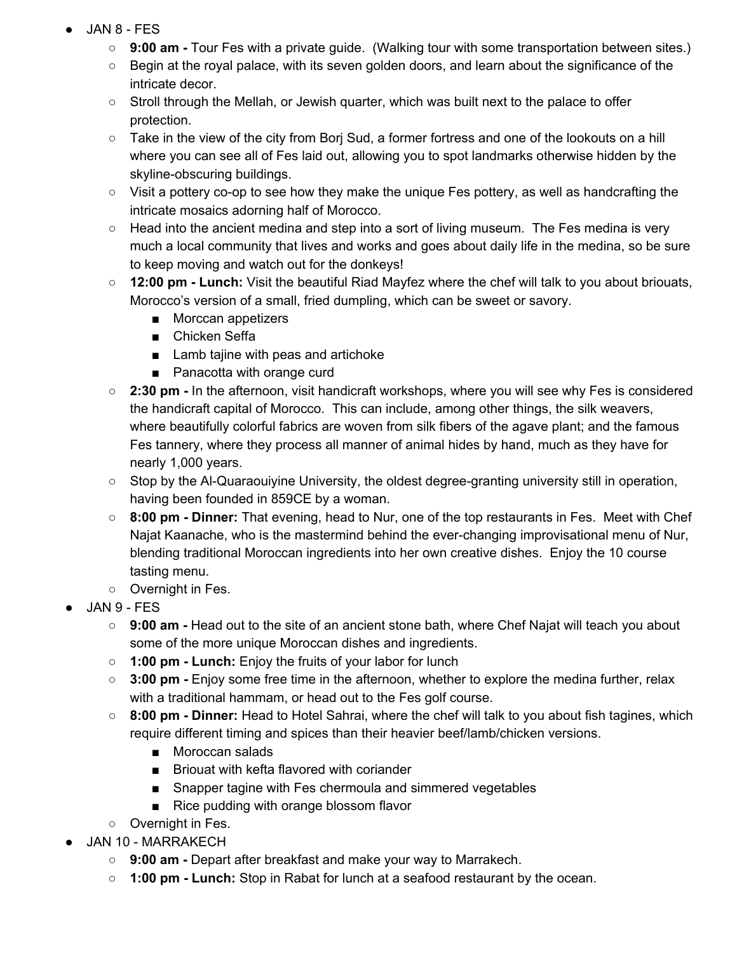- $JAN 8 FES$ 
	- **9:00 am -** Tour Fes with a private guide. (Walking tour with some transportation between sites.)
	- Begin at the royal palace, with its seven golden doors, and learn about the significance of the intricate decor.
	- Stroll through the Mellah, or Jewish quarter, which was built next to the palace to offer protection.
	- Take in the view of the city from Borj Sud, a former fortress and one of the lookouts on a hill where you can see all of Fes laid out, allowing you to spot landmarks otherwise hidden by the skyline-obscuring buildings.
	- Visit a pottery co-op to see how they make the unique Fes pottery, as well as handcrafting the intricate mosaics adorning half of Morocco.
	- $\circ$  Head into the ancient medina and step into a sort of living museum. The Fes medina is very much a local community that lives and works and goes about daily life in the medina, so be sure to keep moving and watch out for the donkeys!
	- **○ 12:00 pm - Lunch:** Visit the beautiful Riad Mayfez where the chef will talk to you about briouats, Morocco's version of a small, fried dumpling, which can be sweet or savory.
		- Morccan appetizers
		- Chicken Seffa
		- Lamb tajine with peas and artichoke
		- Panacotta with orange curd
	- **○ 2:30 pm -** In the afternoon, visit handicraft workshops, where you will see why Fes is considered the handicraft capital of Morocco. This can include, among other things, the silk weavers, where beautifully colorful fabrics are woven from silk fibers of the agave plant; and the famous Fes tannery, where they process all manner of animal hides by hand, much as they have for nearly 1,000 years.
	- Stop by the Al-Quaraouiyine University, the oldest degree-granting university still in operation, having been founded in 859CE by a woman.
	- **8:00 pm - Dinner:** That evening, head to Nur, one of the top restaurants in Fes. Meet with Chef Najat Kaanache, who is the mastermind behind the ever-changing improvisational menu of Nur, blending traditional Moroccan ingredients into her own creative dishes. Enjoy the 10 course tasting menu.
	- Overnight in Fes.
- **JAN 9 FES** 
	- **9:00 am -** Head out to the site of an ancient stone bath, where Chef Najat will teach you about some of the more unique Moroccan dishes and ingredients.
	- **○ 1:00 pm - Lunch:** Enjoy the fruits of your labor for lunch
	- **3:00 pm -** Enjoy some free time in the afternoon, whether to explore the medina further, relax with a traditional hammam, or head out to the Fes golf course.
	- **8:00 pm - Dinner:** Head to Hotel Sahrai, where the chef will talk to you about fish tagines, which require different timing and spices than their heavier beef/lamb/chicken versions.
		- Moroccan salads
		- Briouat with kefta flavored with coriander
		- Snapper tagine with Fes chermoula and simmered vegetables
		- Rice pudding with orange blossom flavor
	- Overnight in Fes.
- JAN 10 MARRAKECH
	- **9:00 am -** Depart after breakfast and make your way to Marrakech.
	- **1:00 pm - Lunch:** Stop in Rabat for lunch at a seafood restaurant by the ocean.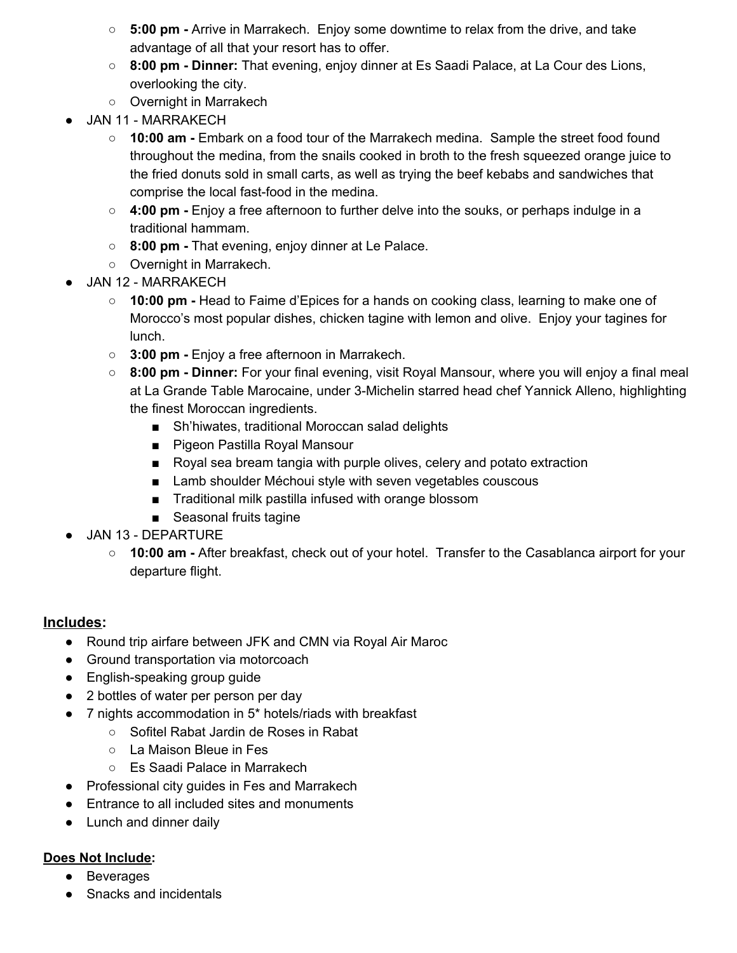- **5:00 pm -** Arrive in Marrakech. Enjoy some downtime to relax from the drive, and take advantage of all that your resort has to offer.
- **8:00 pm - Dinner:** That evening, enjoy dinner at Es Saadi Palace, at La Cour des Lions, overlooking the city.
- Overnight in Marrakech
- JAN 11 MARRAKECH
	- **10:00 am -** Embark on a food tour of the Marrakech medina. Sample the street food found throughout the medina, from the snails cooked in broth to the fresh squeezed orange juice to the fried donuts sold in small carts, as well as trying the beef kebabs and sandwiches that comprise the local fast-food in the medina.
	- **4:00 pm -** Enjoy a free afternoon to further delve into the souks, or perhaps indulge in a traditional hammam.
	- **8:00 pm -** That evening, enjoy dinner at Le Palace.
	- Overnight in Marrakech.
- JAN 12 MARRAKECH
	- **○ 10:00 pm -** Head to Faime d'Epices for a hands on cooking class, learning to make one of Morocco's most popular dishes, chicken tagine with lemon and olive. Enjoy your tagines for lunch.
	- **3:00 pm -** Enjoy a free afternoon in Marrakech.
	- **8:00 pm - Dinner:** For your final evening, visit Royal Mansour, where you will enjoy a final meal at La Grande Table Marocaine, under 3-Michelin starred head chef Yannick Alleno, highlighting the finest Moroccan ingredients.
		- Sh'hiwates, traditional Moroccan salad delights
		- Pigeon Pastilla Royal Mansour
		- Royal sea bream tangia with purple olives, celery and potato extraction
		- Lamb shoulder Méchoui style with seven vegetables couscous
		- Traditional milk pastilla infused with orange blossom
		- Seasonal fruits tagine
- JAN 13 DEPARTURE
	- **10:00 am -** After breakfast, check out of your hotel. Transfer to the Casablanca airport for your departure flight.

#### **Includes:**

- Round trip airfare between JFK and CMN via Royal Air Maroc
- Ground transportation via motorcoach
- English-speaking group guide
- 2 bottles of water per person per day
- 7 nights accommodation in 5\* hotels/riads with breakfast
	- Sofitel Rabat Jardin de Roses in Rabat
	- La Maison Bleue in Fes
	- Es Saadi Palace in Marrakech
- Professional city guides in Fes and Marrakech
- Entrance to all included sites and monuments
- Lunch and dinner daily

## **Does Not Include:**

- Beverages
- Snacks and incidentals